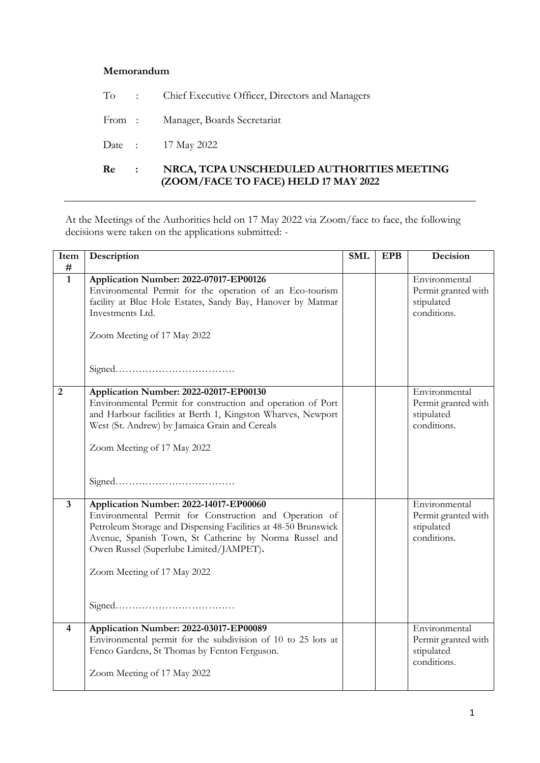## **Memorandum**

| Re | $\sim$ 100 $\sim$ | NRCA, TCPA UNSCHEDULED AUTHORITIES MEETING<br>(ZOOM/FACE TO FACE) HELD 17 MAY 2022 |
|----|-------------------|------------------------------------------------------------------------------------|
|    |                   | Date : 17 May 2022                                                                 |
|    |                   | From: Manager, Boards Secretariat                                                  |
|    |                   | To : Chief Executive Officer, Directors and Managers                               |

At the Meetings of the Authorities held on 17 May 2022 via Zoom/face to face, the following decisions were taken on the applications submitted: -

| Item                    | Description                                                    | <b>SML</b> | <b>EPB</b> | Decision            |
|-------------------------|----------------------------------------------------------------|------------|------------|---------------------|
| #                       |                                                                |            |            |                     |
| $\overline{1}$          | Application Number: 2022-07017-EP00126                         |            |            | Environmental       |
|                         | Environmental Permit for the operation of an Eco-tourism       |            |            | Permit granted with |
|                         | facility at Blue Hole Estates, Sandy Bay, Hanover by Matmar    |            |            | stipulated          |
|                         | Investments Ltd.                                               |            |            | conditions.         |
|                         |                                                                |            |            |                     |
|                         | Zoom Meeting of 17 May 2022                                    |            |            |                     |
|                         |                                                                |            |            |                     |
|                         |                                                                |            |            |                     |
|                         |                                                                |            |            |                     |
| $\overline{2}$          | Application Number: 2022-02017-EP00130                         |            |            | Environmental       |
|                         | Environmental Permit for construction and operation of Port    |            |            | Permit granted with |
|                         | and Harbour facilities at Berth 1, Kingston Wharves, Newport   |            |            | stipulated          |
|                         | West (St. Andrew) by Jamaica Grain and Cereals                 |            |            | conditions.         |
|                         |                                                                |            |            |                     |
|                         | Zoom Meeting of 17 May 2022                                    |            |            |                     |
|                         |                                                                |            |            |                     |
|                         |                                                                |            |            |                     |
|                         |                                                                |            |            |                     |
|                         |                                                                |            |            |                     |
| $\overline{\mathbf{3}}$ | Application Number: 2022-14017-EP00060                         |            |            | Environmental       |
|                         | Environmental Permit for Construction and Operation of         |            |            | Permit granted with |
|                         | Petroleum Storage and Dispensing Facilities at 48-50 Brunswick |            |            | stipulated          |
|                         | Avenue, Spanish Town, St Catherine by Norma Russel and         |            |            | conditions.         |
|                         | Owen Russel (Superlube Limited/JAMPET).                        |            |            |                     |
|                         |                                                                |            |            |                     |
|                         | Zoom Meeting of 17 May 2022                                    |            |            |                     |
|                         |                                                                |            |            |                     |
|                         |                                                                |            |            |                     |
|                         |                                                                |            |            |                     |
| 4                       | Application Number: 2022-03017-EP00089                         |            |            | Environmental       |
|                         | Environmental permit for the subdivision of 10 to 25 lots at   |            |            | Permit granted with |
|                         | Fenco Gardens, St Thomas by Fenton Ferguson.                   |            |            | stipulated          |
|                         |                                                                |            |            | conditions.         |
|                         | Zoom Meeting of 17 May 2022                                    |            |            |                     |
|                         |                                                                |            |            |                     |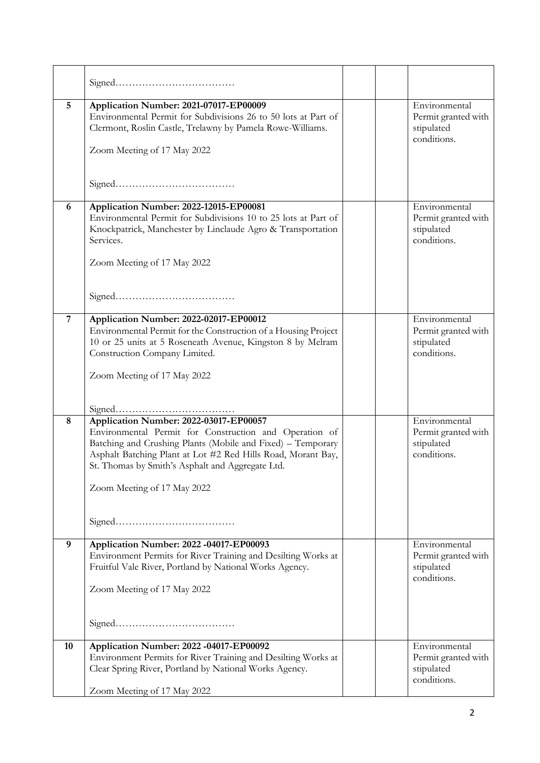| 5              | Application Number: 2021-07017-EP00009<br>Environmental Permit for Subdivisions 26 to 50 lots at Part of<br>Clermont, Roslin Castle, Trelawny by Pamela Rowe-Williams.<br>Zoom Meeting of 17 May 2022                                                                                                              | Environmental<br>Permit granted with<br>stipulated<br>conditions. |
|----------------|--------------------------------------------------------------------------------------------------------------------------------------------------------------------------------------------------------------------------------------------------------------------------------------------------------------------|-------------------------------------------------------------------|
|                |                                                                                                                                                                                                                                                                                                                    |                                                                   |
| 6              | Application Number: 2022-12015-EP00081<br>Environmental Permit for Subdivisions 10 to 25 lots at Part of<br>Knockpatrick, Manchester by Linclaude Agro & Transportation<br>Services.<br>Zoom Meeting of 17 May 2022                                                                                                | Environmental<br>Permit granted with<br>stipulated<br>conditions. |
|                |                                                                                                                                                                                                                                                                                                                    |                                                                   |
| $\overline{7}$ | Application Number: 2022-02017-EP00012<br>Environmental Permit for the Construction of a Housing Project<br>10 or 25 units at 5 Roseneath Avenue, Kingston 8 by Melram<br>Construction Company Limited.<br>Zoom Meeting of 17 May 2022                                                                             | Environmental<br>Permit granted with<br>stipulated<br>conditions. |
|                |                                                                                                                                                                                                                                                                                                                    |                                                                   |
| 8              | Application Number: 2022-03017-EP00057<br>Environmental Permit for Construction and Operation of<br>Batching and Crushing Plants (Mobile and Fixed) - Temporary<br>Asphalt Batching Plant at Lot #2 Red Hills Road, Morant Bay,<br>St. Thomas by Smith's Asphalt and Aggregate Ltd.<br>Zoom Meeting of 17 May 2022 | Environmental<br>Permit granted with<br>stipulated<br>conditions. |
| 9              | Application Number: 2022 -04017-EP00093<br>Environment Permits for River Training and Desilting Works at<br>Fruitful Vale River, Portland by National Works Agency.<br>Zoom Meeting of 17 May 2022                                                                                                                 | Environmental<br>Permit granted with<br>stipulated<br>conditions. |
| 10             | Application Number: 2022 -04017-EP00092                                                                                                                                                                                                                                                                            | Environmental                                                     |
|                | Environment Permits for River Training and Desilting Works at<br>Clear Spring River, Portland by National Works Agency.                                                                                                                                                                                            | Permit granted with<br>stipulated<br>conditions.                  |
|                | Zoom Meeting of 17 May 2022                                                                                                                                                                                                                                                                                        |                                                                   |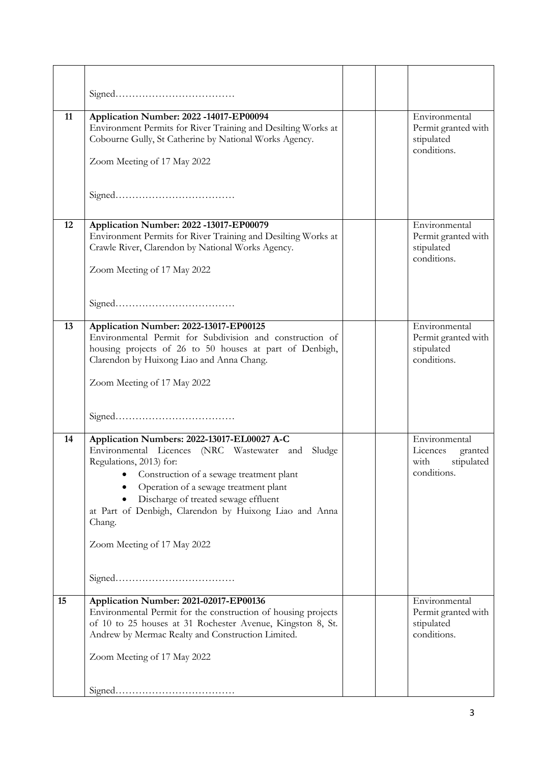| 11 | Application Number: 2022 -14017-EP00094                                                                         |  | Environmental                             |
|----|-----------------------------------------------------------------------------------------------------------------|--|-------------------------------------------|
|    | Environment Permits for River Training and Desilting Works at                                                   |  | Permit granted with                       |
|    | Cobourne Gully, St Catherine by National Works Agency.                                                          |  | stipulated                                |
|    | Zoom Meeting of 17 May 2022                                                                                     |  | conditions.                               |
|    |                                                                                                                 |  |                                           |
|    |                                                                                                                 |  |                                           |
|    |                                                                                                                 |  |                                           |
| 12 | Application Number: 2022 -13017-EP00079                                                                         |  | Environmental                             |
|    | Environment Permits for River Training and Desilting Works at                                                   |  | Permit granted with                       |
|    | Crawle River, Clarendon by National Works Agency.                                                               |  | stipulated                                |
|    | Zoom Meeting of 17 May 2022                                                                                     |  | conditions.                               |
|    |                                                                                                                 |  |                                           |
|    |                                                                                                                 |  |                                           |
|    |                                                                                                                 |  |                                           |
| 13 | Application Number: 2022-13017-EP00125<br>Environmental Permit for Subdivision and construction of              |  | Environmental<br>Permit granted with      |
|    | housing projects of 26 to 50 houses at part of Denbigh,                                                         |  | stipulated                                |
|    | Clarendon by Huixong Liao and Anna Chang.                                                                       |  | conditions.                               |
|    | Zoom Meeting of 17 May 2022                                                                                     |  |                                           |
|    |                                                                                                                 |  |                                           |
|    |                                                                                                                 |  |                                           |
|    |                                                                                                                 |  |                                           |
| 14 | Application Numbers: 2022-13017-EL00027 A-C                                                                     |  | Environmental                             |
|    | Environmental Licences (NRC Wastewater and Sludge<br>Regulations, 2013) for:                                    |  | Licences<br>granted<br>stipulated<br>with |
|    | Construction of a sewage treatment plant                                                                        |  | conditions.                               |
|    | Operation of a sewage treatment plant                                                                           |  |                                           |
|    | Discharge of treated sewage effluent<br>at Part of Denbigh, Clarendon by Huixong Liao and Anna                  |  |                                           |
|    | Chang.                                                                                                          |  |                                           |
|    |                                                                                                                 |  |                                           |
|    | Zoom Meeting of 17 May 2022                                                                                     |  |                                           |
|    |                                                                                                                 |  |                                           |
|    |                                                                                                                 |  |                                           |
| 15 | Application Number: 2021-02017-EP00136                                                                          |  | Environmental                             |
|    | Environmental Permit for the construction of housing projects                                                   |  | Permit granted with                       |
|    | of 10 to 25 houses at 31 Rochester Avenue, Kingston 8, St.<br>Andrew by Mermac Realty and Construction Limited. |  | stipulated<br>conditions.                 |
|    |                                                                                                                 |  |                                           |
|    | Zoom Meeting of 17 May 2022                                                                                     |  |                                           |
|    |                                                                                                                 |  |                                           |
|    |                                                                                                                 |  |                                           |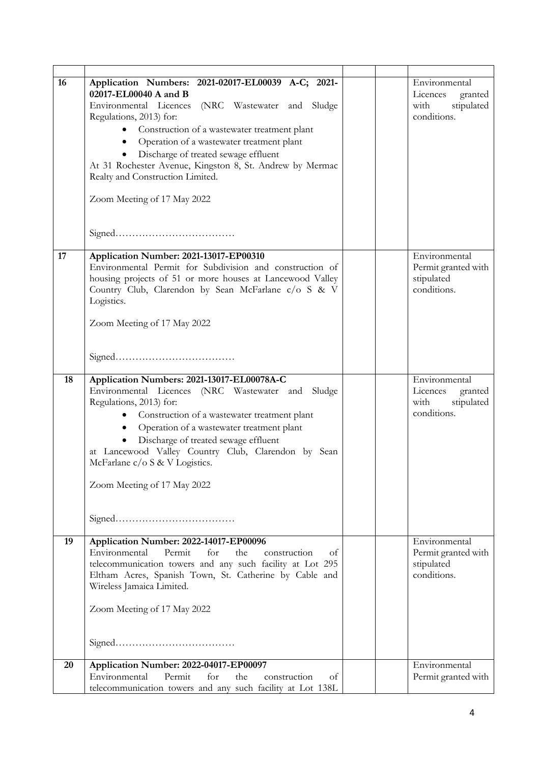| 16 | Application Numbers: 2021-02017-EL00039 A-C; 2021-<br>02017-EL00040 A and B<br>Environmental Licences (NRC Wastewater and Sludge<br>Regulations, 2013) for:<br>Construction of a wastewater treatment plant<br>$\bullet$<br>Operation of a wastewater treatment plant<br>$\bullet$<br>Discharge of treated sewage effluent<br>At 31 Rochester Avenue, Kingston 8, St. Andrew by Mermac<br>Realty and Construction Limited.<br>Zoom Meeting of 17 May 2022 |  | Environmental<br>Licences<br>granted<br>stipulated<br>with<br>conditions. |
|----|-----------------------------------------------------------------------------------------------------------------------------------------------------------------------------------------------------------------------------------------------------------------------------------------------------------------------------------------------------------------------------------------------------------------------------------------------------------|--|---------------------------------------------------------------------------|
| 17 | Application Number: 2021-13017-EP00310<br>Environmental Permit for Subdivision and construction of<br>housing projects of 51 or more houses at Lancewood Valley<br>Country Club, Clarendon by Sean McFarlane c/o S & V<br>Logistics.<br>Zoom Meeting of 17 May 2022                                                                                                                                                                                       |  | Environmental<br>Permit granted with<br>stipulated<br>conditions.         |
| 18 | Application Numbers: 2021-13017-EL00078A-C<br>Environmental Licences (NRC Wastewater and Sludge<br>Regulations, 2013) for:<br>Construction of a wastewater treatment plant<br>Operation of a wastewater treatment plant<br>$\bullet$<br>Discharge of treated sewage effluent<br>$\bullet$<br>at Lancewood Valley Country Club, Clarendon by Sean<br>McFarlane $c/o S & V$ Logistics.<br>Zoom Meeting of 17 May 2022                                       |  | Environmental<br>Licences<br>granted<br>with<br>stipulated<br>conditions. |
| 19 | Application Number: 2022-14017-EP00096<br>Environmental<br>Permit<br>for<br>the<br>construction<br>of<br>telecommunication towers and any such facility at Lot 295<br>Eltham Acres, Spanish Town, St. Catherine by Cable and<br>Wireless Jamaica Limited.<br>Zoom Meeting of 17 May 2022                                                                                                                                                                  |  | Environmental<br>Permit granted with<br>stipulated<br>conditions.         |
| 20 | Application Number: 2022-04017-EP00097<br>Environmental<br>Permit<br>for<br>the<br>construction<br>οt<br>telecommunication towers and any such facility at Lot 138L                                                                                                                                                                                                                                                                                       |  | Environmental<br>Permit granted with                                      |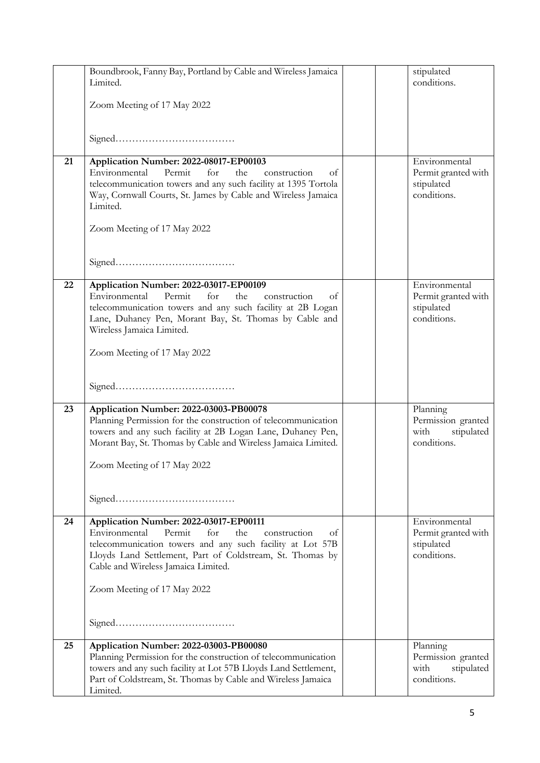|    | Boundbrook, Fanny Bay, Portland by Cable and Wireless Jamaica                                           |  | stipulated                           |
|----|---------------------------------------------------------------------------------------------------------|--|--------------------------------------|
|    | Limited.                                                                                                |  | conditions.                          |
|    | Zoom Meeting of 17 May 2022                                                                             |  |                                      |
|    |                                                                                                         |  |                                      |
|    |                                                                                                         |  |                                      |
|    |                                                                                                         |  |                                      |
| 21 | Application Number: 2022-08017-EP00103<br>Environmental<br>Permit<br>for<br>the<br>construction<br>οf   |  | Environmental<br>Permit granted with |
|    | telecommunication towers and any such facility at 1395 Tortola                                          |  | stipulated                           |
|    | Way, Cornwall Courts, St. James by Cable and Wireless Jamaica                                           |  | conditions.                          |
|    | Limited.                                                                                                |  |                                      |
|    | Zoom Meeting of 17 May 2022                                                                             |  |                                      |
|    |                                                                                                         |  |                                      |
|    |                                                                                                         |  |                                      |
|    |                                                                                                         |  |                                      |
| 22 | Application Number: 2022-03017-EP00109<br>Environmental<br>Permit<br>for<br>the<br>construction<br>οf   |  | Environmental<br>Permit granted with |
|    | telecommunication towers and any such facility at 2B Logan                                              |  | stipulated                           |
|    | Lane, Duhaney Pen, Morant Bay, St. Thomas by Cable and                                                  |  | conditions.                          |
|    | Wireless Jamaica Limited.                                                                               |  |                                      |
|    | Zoom Meeting of 17 May 2022                                                                             |  |                                      |
|    |                                                                                                         |  |                                      |
|    |                                                                                                         |  |                                      |
|    |                                                                                                         |  |                                      |
| 23 | Application Number: 2022-03003-PB00078<br>Planning Permission for the construction of telecommunication |  | Planning<br>Permission granted       |
|    | towers and any such facility at 2B Logan Lane, Duhaney Pen,                                             |  | with<br>stipulated                   |
|    | Morant Bay, St. Thomas by Cable and Wireless Jamaica Limited.                                           |  | conditions.                          |
|    | Zoom Meeting of 17 May 2022                                                                             |  |                                      |
|    |                                                                                                         |  |                                      |
|    |                                                                                                         |  |                                      |
|    |                                                                                                         |  |                                      |
| 24 | Application Number: 2022-03017-EP00111<br>Environmental<br>Permit<br>for<br>the<br>construction<br>of   |  | Environmental<br>Permit granted with |
|    | telecommunication towers and any such facility at Lot 57B                                               |  | stipulated                           |
|    | Lloyds Land Settlement, Part of Coldstream, St. Thomas by                                               |  | conditions.                          |
|    | Cable and Wireless Jamaica Limited.                                                                     |  |                                      |
|    | Zoom Meeting of 17 May 2022                                                                             |  |                                      |
|    |                                                                                                         |  |                                      |
|    |                                                                                                         |  |                                      |
|    |                                                                                                         |  |                                      |
| 25 | Application Number: 2022-03003-PB00080<br>Planning Permission for the construction of telecommunication |  | Planning<br>Permission granted       |
|    | towers and any such facility at Lot 57B Lloyds Land Settlement,                                         |  | with<br>stipulated                   |
|    | Part of Coldstream, St. Thomas by Cable and Wireless Jamaica                                            |  | conditions.                          |
|    | Limited.                                                                                                |  |                                      |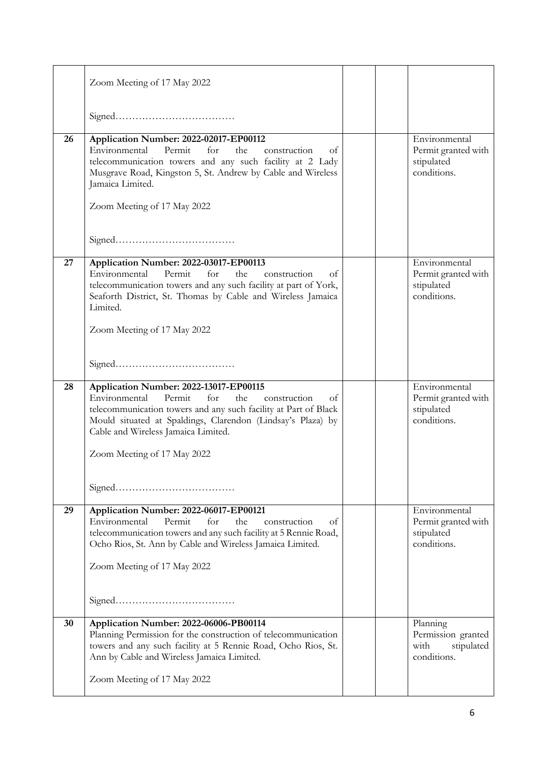|    | Zoom Meeting of 17 May 2022                                                                                                                                                                                                                                                         |  |                                                                     |
|----|-------------------------------------------------------------------------------------------------------------------------------------------------------------------------------------------------------------------------------------------------------------------------------------|--|---------------------------------------------------------------------|
|    |                                                                                                                                                                                                                                                                                     |  |                                                                     |
| 26 | Application Number: 2022-02017-EP00112<br>Environmental<br>Permit<br>for<br>the<br>construction<br>ot<br>telecommunication towers and any such facility at 2 Lady<br>Musgrave Road, Kingston 5, St. Andrew by Cable and Wireless<br>Jamaica Limited.<br>Zoom Meeting of 17 May 2022 |  | Environmental<br>Permit granted with<br>stipulated<br>conditions.   |
|    |                                                                                                                                                                                                                                                                                     |  |                                                                     |
| 27 | Application Number: 2022-03017-EP00113<br>Environmental<br>Permit<br>for<br>the<br>construction<br>οf<br>telecommunication towers and any such facility at part of York,<br>Seaforth District, St. Thomas by Cable and Wireless Jamaica<br>Limited.<br>Zoom Meeting of 17 May 2022  |  | Environmental<br>Permit granted with<br>stipulated<br>conditions.   |
|    |                                                                                                                                                                                                                                                                                     |  |                                                                     |
| 28 | Application Number: 2022-13017-EP00115<br>Permit<br>Environmental<br>for<br>the<br>construction<br>οt<br>telecommunication towers and any such facility at Part of Black<br>Mould situated at Spaldings, Clarendon (Lindsay's Plaza) by<br>Cable and Wireless Jamaica Limited.      |  | Environmental<br>Permit granted with<br>stipulated<br>conditions.   |
|    | Zoom Meeting of 17 May 2022                                                                                                                                                                                                                                                         |  |                                                                     |
|    |                                                                                                                                                                                                                                                                                     |  |                                                                     |
| 29 | Application Number: 2022-06017-EP00121<br>Environmental<br>Permit<br>for<br>the<br>construction<br>οf<br>telecommunication towers and any such facility at 5 Rennie Road,<br>Ocho Rios, St. Ann by Cable and Wireless Jamaica Limited.<br>Zoom Meeting of 17 May 2022               |  | Environmental<br>Permit granted with<br>stipulated<br>conditions.   |
|    |                                                                                                                                                                                                                                                                                     |  |                                                                     |
| 30 | Application Number: 2022-06006-PB00114<br>Planning Permission for the construction of telecommunication<br>towers and any such facility at 5 Rennie Road, Ocho Rios, St.<br>Ann by Cable and Wireless Jamaica Limited.                                                              |  | Planning<br>Permission granted<br>with<br>stipulated<br>conditions. |
|    | Zoom Meeting of 17 May 2022                                                                                                                                                                                                                                                         |  |                                                                     |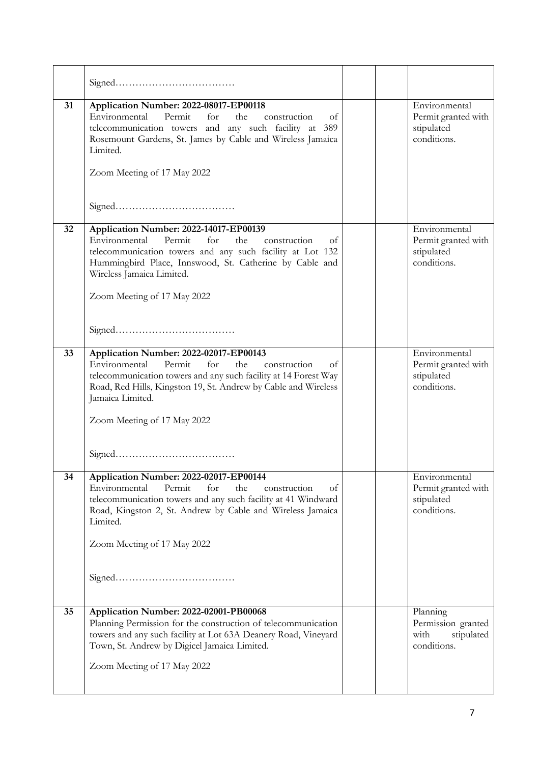| 31 | Application Number: 2022-08017-EP00118<br>Permit<br>Environmental<br>for<br>the<br>construction<br>οf<br>telecommunication towers and any such facility at 389<br>Rosemount Gardens, St. James by Cable and Wireless Jamaica<br>Limited.<br>Zoom Meeting of 17 May 2022                       |  | Environmental<br>Permit granted with<br>stipulated<br>conditions. |
|----|-----------------------------------------------------------------------------------------------------------------------------------------------------------------------------------------------------------------------------------------------------------------------------------------------|--|-------------------------------------------------------------------|
|    |                                                                                                                                                                                                                                                                                               |  |                                                                   |
| 32 | Application Number: 2022-14017-EP00139<br>Environmental<br>Permit<br>for<br>the<br>construction<br>of<br>telecommunication towers and any such facility at Lot 132<br>Hummingbird Place, Innswood, St. Catherine by Cable and<br>Wireless Jamaica Limited.<br>Zoom Meeting of 17 May 2022     |  | Environmental<br>Permit granted with<br>stipulated<br>conditions. |
|    |                                                                                                                                                                                                                                                                                               |  |                                                                   |
| 33 | Application Number: 2022-02017-EP00143<br>Environmental<br>Permit<br>for<br>the<br>construction<br>оf<br>telecommunication towers and any such facility at 14 Forest Way<br>Road, Red Hills, Kingston 19, St. Andrew by Cable and Wireless<br>Jamaica Limited.<br>Zoom Meeting of 17 May 2022 |  | Environmental<br>Permit granted with<br>stipulated<br>conditions. |
| 34 |                                                                                                                                                                                                                                                                                               |  |                                                                   |
|    | Application Number: 2022-02017-EP00144<br>Environmental<br>Permit<br>for<br>the<br>of<br>construction<br>telecommunication towers and any such facility at 41 Windward<br>Road, Kingston 2, St. Andrew by Cable and Wireless Jamaica<br>Limited.<br>Zoom Meeting of 17 May 2022               |  | Environmental<br>Permit granted with<br>stipulated<br>conditions. |
| 35 | Application Number: 2022-02001-PB00068                                                                                                                                                                                                                                                        |  | Planning                                                          |
|    | Planning Permission for the construction of telecommunication<br>towers and any such facility at Lot 63A Deanery Road, Vineyard<br>Town, St. Andrew by Digicel Jamaica Limited.                                                                                                               |  | Permission granted<br>with<br>stipulated<br>conditions.           |
|    | Zoom Meeting of 17 May 2022                                                                                                                                                                                                                                                                   |  |                                                                   |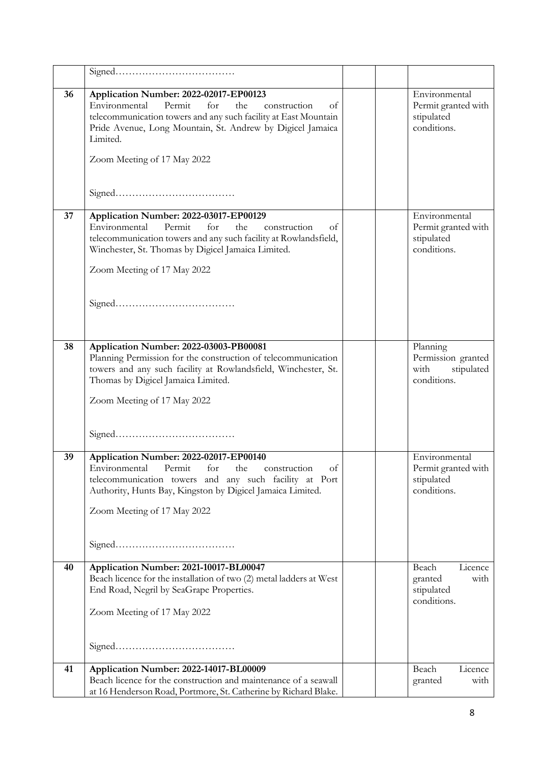| 36 | Application Number: 2022-02017-EP00123<br>Permit<br>Environmental<br>for<br>the<br>construction<br>оf<br>telecommunication towers and any such facility at East Mountain<br>Pride Avenue, Long Mountain, St. Andrew by Digicel Jamaica<br>Limited.<br>Zoom Meeting of 17 May 2022 |  | Environmental<br>Permit granted with<br>stipulated<br>conditions.   |
|----|-----------------------------------------------------------------------------------------------------------------------------------------------------------------------------------------------------------------------------------------------------------------------------------|--|---------------------------------------------------------------------|
| 37 |                                                                                                                                                                                                                                                                                   |  | Environmental                                                       |
|    | Application Number: 2022-03017-EP00129<br>Permit<br>Environmental<br>for<br>the<br>construction<br>οf<br>telecommunication towers and any such facility at Rowlandsfield,<br>Winchester, St. Thomas by Digicel Jamaica Limited.<br>Zoom Meeting of 17 May 2022                    |  | Permit granted with<br>stipulated<br>conditions.                    |
|    |                                                                                                                                                                                                                                                                                   |  |                                                                     |
| 38 | Application Number: 2022-03003-PB00081<br>Planning Permission for the construction of telecommunication<br>towers and any such facility at Rowlandsfield, Winchester, St.<br>Thomas by Digicel Jamaica Limited.<br>Zoom Meeting of 17 May 2022                                    |  | Planning<br>Permission granted<br>with<br>stipulated<br>conditions. |
| 39 | Application Number: 2022-02017-EP00140<br>Environmental Permit for the construction of<br>telecommunication towers and any such facility at Port<br>Authority, Hunts Bay, Kingston by Digicel Jamaica Limited.<br>Zoom Meeting of 17 May 2022                                     |  | Environmental<br>Permit granted with<br>stipulated<br>conditions.   |
| 40 | Application Number: 2021-10017-BL00047<br>Beach licence for the installation of two (2) metal ladders at West<br>End Road, Negril by SeaGrape Properties.<br>Zoom Meeting of 17 May 2022                                                                                          |  | Beach<br>Licence<br>granted<br>with<br>stipulated<br>conditions.    |
| 41 | Application Number: 2022-14017-BL00009                                                                                                                                                                                                                                            |  | Beach<br>Licence                                                    |
|    | Beach licence for the construction and maintenance of a seawall<br>at 16 Henderson Road, Portmore, St. Catherine by Richard Blake.                                                                                                                                                |  | with<br>granted                                                     |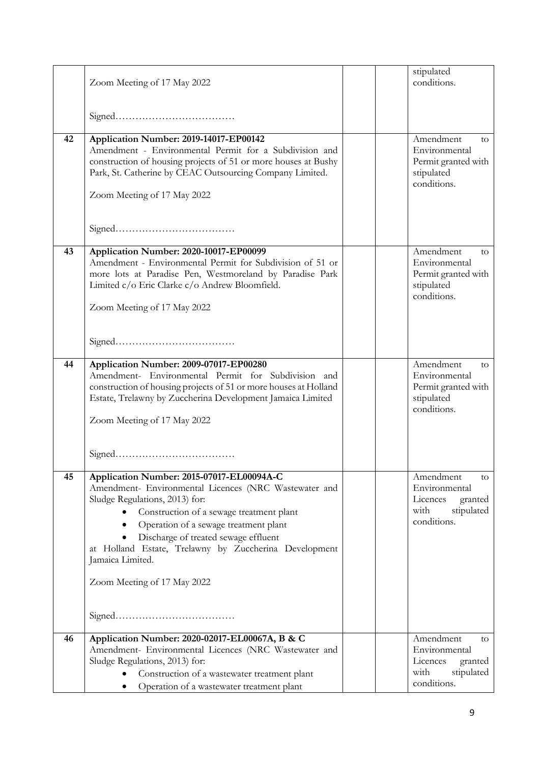|    | Zoom Meeting of 17 May 2022                                                                                                                                                                                                                                                                                                                                                   |  | stipulated<br>conditions.                                                                    |
|----|-------------------------------------------------------------------------------------------------------------------------------------------------------------------------------------------------------------------------------------------------------------------------------------------------------------------------------------------------------------------------------|--|----------------------------------------------------------------------------------------------|
|    |                                                                                                                                                                                                                                                                                                                                                                               |  |                                                                                              |
|    |                                                                                                                                                                                                                                                                                                                                                                               |  |                                                                                              |
| 42 | Application Number: 2019-14017-EP00142<br>Amendment - Environmental Permit for a Subdivision and<br>construction of housing projects of 51 or more houses at Bushy<br>Park, St. Catherine by CEAC Outsourcing Company Limited.<br>Zoom Meeting of 17 May 2022                                                                                                                 |  | Amendment<br>to<br>Environmental<br>Permit granted with<br>stipulated<br>conditions.         |
| 43 | Application Number: 2020-10017-EP00099<br>Amendment - Environmental Permit for Subdivision of 51 or<br>more lots at Paradise Pen, Westmoreland by Paradise Park<br>Limited c/o Eric Clarke c/o Andrew Bloomfield.<br>Zoom Meeting of 17 May 2022                                                                                                                              |  | Amendment<br>to<br>Environmental<br>Permit granted with<br>stipulated<br>conditions.         |
| 44 | Application Number: 2009-07017-EP00280                                                                                                                                                                                                                                                                                                                                        |  | Amendment<br>to                                                                              |
|    | Amendment- Environmental Permit for Subdivision and<br>construction of housing projects of 51 or more houses at Holland<br>Estate, Trelawny by Zuccherina Development Jamaica Limited<br>Zoom Meeting of 17 May 2022                                                                                                                                                          |  | Environmental<br>Permit granted with<br>stipulated<br>conditions.                            |
|    |                                                                                                                                                                                                                                                                                                                                                                               |  |                                                                                              |
| 45 | Application Number: 2015-07017-EL00094A-C<br>Amendment- Environmental Licences (NRC Wastewater and<br>Sludge Regulations, 2013) for:<br>Construction of a sewage treatment plant<br>Operation of a sewage treatment plant<br>Discharge of treated sewage effluent<br>at Holland Estate, Trelawny by Zuccherina Development<br>Jamaica Limited.<br>Zoom Meeting of 17 May 2022 |  | Amendment<br>to<br>Environmental<br>Licences<br>granted<br>stipulated<br>with<br>conditions. |
| 46 | Application Number: 2020-02017-EL00067A, B & C                                                                                                                                                                                                                                                                                                                                |  | Amendment<br>to                                                                              |
|    | Amendment- Environmental Licences (NRC Wastewater and<br>Sludge Regulations, 2013) for:<br>Construction of a wastewater treatment plant<br>Operation of a wastewater treatment plant                                                                                                                                                                                          |  | Environmental<br>Licences<br>granted<br>stipulated<br>with<br>conditions.                    |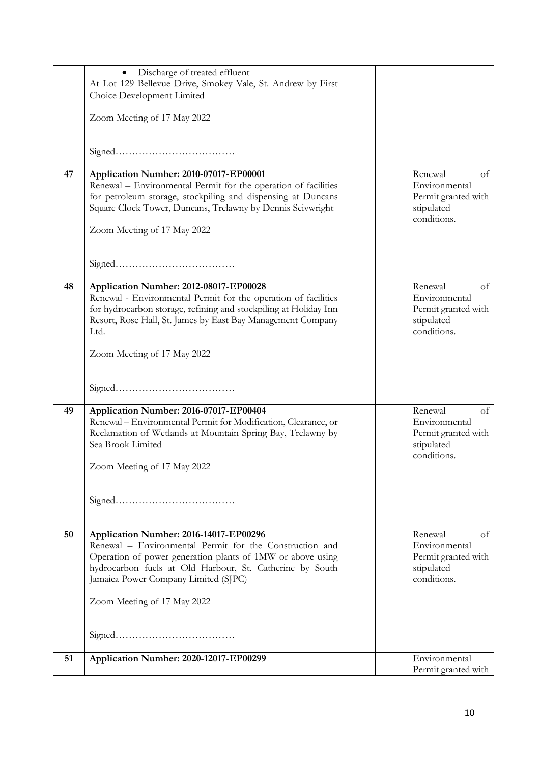|    | Discharge of treated effluent<br>$\bullet$<br>At Lot 129 Bellevue Drive, Smokey Vale, St. Andrew by First<br>Choice Development Limited<br>Zoom Meeting of 17 May 2022                                                                                                                             |  |                                                                                    |
|----|----------------------------------------------------------------------------------------------------------------------------------------------------------------------------------------------------------------------------------------------------------------------------------------------------|--|------------------------------------------------------------------------------------|
|    |                                                                                                                                                                                                                                                                                                    |  |                                                                                    |
| 47 | Application Number: 2010-07017-EP00001<br>Renewal - Environmental Permit for the operation of facilities<br>for petroleum storage, stockpiling and dispensing at Duncans<br>Square Clock Tower, Duncans, Trelawny by Dennis Seivwright<br>Zoom Meeting of 17 May 2022                              |  | Renewal<br>of<br>Environmental<br>Permit granted with<br>stipulated<br>conditions. |
|    |                                                                                                                                                                                                                                                                                                    |  |                                                                                    |
| 48 | Application Number: 2012-08017-EP00028<br>Renewal - Environmental Permit for the operation of facilities<br>for hydrocarbon storage, refining and stockpiling at Holiday Inn<br>Resort, Rose Hall, St. James by East Bay Management Company<br>Ltd.<br>Zoom Meeting of 17 May 2022                 |  | Renewal<br>of<br>Environmental<br>Permit granted with<br>stipulated<br>conditions. |
|    |                                                                                                                                                                                                                                                                                                    |  |                                                                                    |
| 49 | Application Number: 2016-07017-EP00404<br>Renewal - Environmental Permit for Modification, Clearance, or<br>Reclamation of Wetlands at Mountain Spring Bay, Trelawny by<br>Sea Brook Limited<br>Zoom Meeting of 17 May 2022                                                                        |  | Renewal<br>of<br>Environmental<br>Permit granted with<br>stipulated<br>conditions. |
|    |                                                                                                                                                                                                                                                                                                    |  |                                                                                    |
| 50 | Application Number: 2016-14017-EP00296<br>Renewal - Environmental Permit for the Construction and<br>Operation of power generation plants of 1MW or above using<br>hydrocarbon fuels at Old Harbour, St. Catherine by South<br>Jamaica Power Company Limited (SJPC)<br>Zoom Meeting of 17 May 2022 |  | Renewal<br>of<br>Environmental<br>Permit granted with<br>stipulated<br>conditions. |
|    |                                                                                                                                                                                                                                                                                                    |  |                                                                                    |
| 51 | Application Number: 2020-12017-EP00299                                                                                                                                                                                                                                                             |  | Environmental                                                                      |
|    |                                                                                                                                                                                                                                                                                                    |  | Permit granted with                                                                |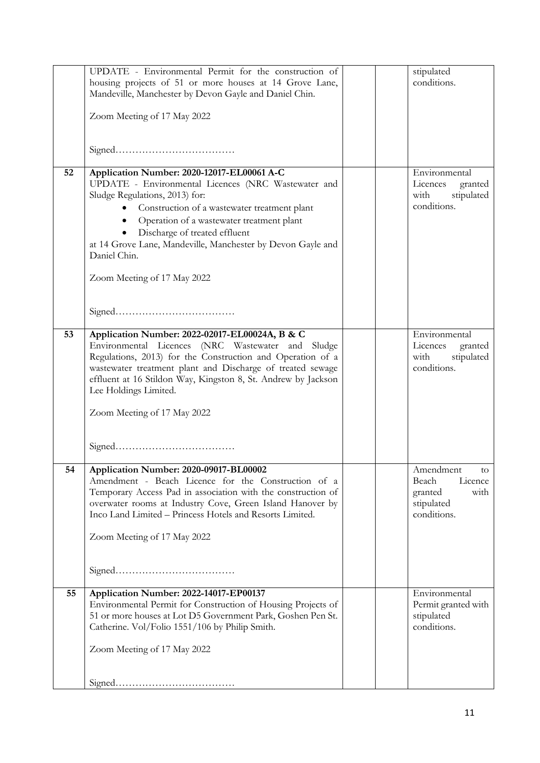|    | UPDATE - Environmental Permit for the construction of<br>housing projects of 51 or more houses at 14 Grove Lane,<br>Mandeville, Manchester by Devon Gayle and Daniel Chin.                                                                                                                                                                                                      |  | stipulated<br>conditions.                                                           |
|----|---------------------------------------------------------------------------------------------------------------------------------------------------------------------------------------------------------------------------------------------------------------------------------------------------------------------------------------------------------------------------------|--|-------------------------------------------------------------------------------------|
|    | Zoom Meeting of 17 May 2022                                                                                                                                                                                                                                                                                                                                                     |  |                                                                                     |
|    |                                                                                                                                                                                                                                                                                                                                                                                 |  |                                                                                     |
| 52 | Application Number: 2020-12017-EL00061 A-C<br>UPDATE - Environmental Licences (NRC Wastewater and<br>Sludge Regulations, 2013) for:<br>Construction of a wastewater treatment plant<br>Operation of a wastewater treatment plant<br>Discharge of treated effluent<br>at 14 Grove Lane, Mandeville, Manchester by Devon Gayle and<br>Daniel Chin.<br>Zoom Meeting of 17 May 2022 |  | Environmental<br>Licences<br>granted<br>stipulated<br>with<br>conditions.           |
|    |                                                                                                                                                                                                                                                                                                                                                                                 |  |                                                                                     |
| 53 | Application Number: 2022-02017-EL00024A, B & C<br>Environmental Licences (NRC Wastewater and Sludge<br>Regulations, 2013) for the Construction and Operation of a<br>wastewater treatment plant and Discharge of treated sewage<br>effluent at 16 Stildon Way, Kingston 8, St. Andrew by Jackson<br>Lee Holdings Limited.<br>Zoom Meeting of 17 May 2022                        |  | Environmental<br>Licences<br>granted<br>with<br>stipulated<br>conditions.           |
|    |                                                                                                                                                                                                                                                                                                                                                                                 |  |                                                                                     |
|    |                                                                                                                                                                                                                                                                                                                                                                                 |  |                                                                                     |
| 54 | Application Number: 2020-09017-BL00002<br>Amendment - Beach Licence for the Construction of a<br>Temporary Access Pad in association with the construction of<br>overwater rooms at Industry Cove, Green Island Hanover by<br>Inco Land Limited - Princess Hotels and Resorts Limited.<br>Zoom Meeting of 17 May 2022                                                           |  | Amendment<br>w.<br>Licence<br>Beach<br>granted<br>with<br>stipulated<br>conditions. |
|    |                                                                                                                                                                                                                                                                                                                                                                                 |  |                                                                                     |
| 55 | Application Number: 2022-14017-EP00137<br>Environmental Permit for Construction of Housing Projects of<br>51 or more houses at Lot D5 Government Park, Goshen Pen St.<br>Catherine. Vol/Folio 1551/106 by Philip Smith.                                                                                                                                                         |  | Environmental<br>Permit granted with<br>stipulated<br>conditions.                   |
|    | Zoom Meeting of 17 May 2022                                                                                                                                                                                                                                                                                                                                                     |  |                                                                                     |
|    |                                                                                                                                                                                                                                                                                                                                                                                 |  |                                                                                     |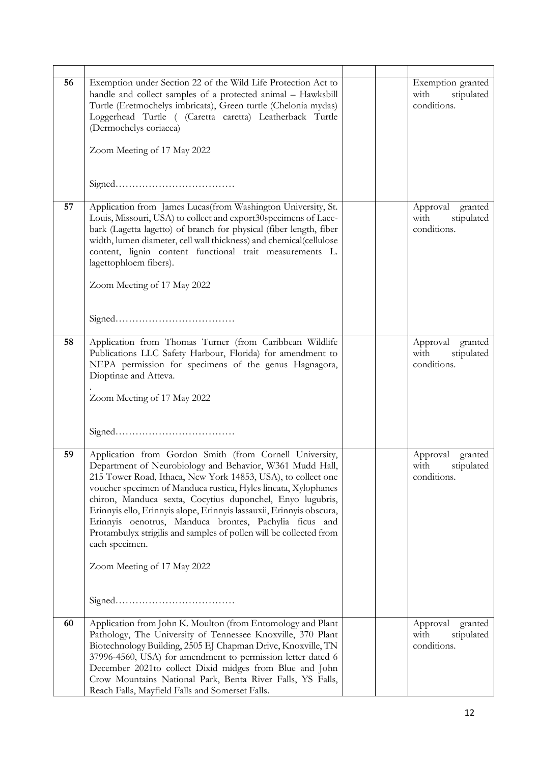| 56 | Exemption under Section 22 of the Wild Life Protection Act to<br>handle and collect samples of a protected animal - Hawksbill<br>Turtle (Eretmochelys imbricata), Green turtle (Chelonia mydas)<br>Loggerhead Turtle ( (Caretta caretta) Leatherback Turtle<br>(Dermochelys coriacea)                                                                                                                                                                                                                                                        |  | Exemption granted<br>with<br>stipulated<br>conditions.   |
|----|----------------------------------------------------------------------------------------------------------------------------------------------------------------------------------------------------------------------------------------------------------------------------------------------------------------------------------------------------------------------------------------------------------------------------------------------------------------------------------------------------------------------------------------------|--|----------------------------------------------------------|
|    | Zoom Meeting of 17 May 2022                                                                                                                                                                                                                                                                                                                                                                                                                                                                                                                  |  |                                                          |
|    |                                                                                                                                                                                                                                                                                                                                                                                                                                                                                                                                              |  |                                                          |
| 57 | Application from James Lucas(from Washington University, St.<br>Louis, Missouri, USA) to collect and export30 specimens of Lace-<br>bark (Lagetta lagetto) of branch for physical (fiber length, fiber<br>width, lumen diameter, cell wall thickness) and chemical(cellulose<br>content, lignin content functional trait measurements L.<br>lagettophloem fibers).                                                                                                                                                                           |  | Approval<br>granted<br>with<br>stipulated<br>conditions. |
|    | Zoom Meeting of 17 May 2022                                                                                                                                                                                                                                                                                                                                                                                                                                                                                                                  |  |                                                          |
| 58 | Application from Thomas Turner (from Caribbean Wildlife<br>Publications LLC Safety Harbour, Florida) for amendment to<br>NEPA permission for specimens of the genus Hagnagora,<br>Dioptinae and Atteva.<br>Zoom Meeting of 17 May 2022                                                                                                                                                                                                                                                                                                       |  | Approval granted<br>with<br>stipulated<br>conditions.    |
|    |                                                                                                                                                                                                                                                                                                                                                                                                                                                                                                                                              |  |                                                          |
| 59 | Application from Gordon Smith (from Cornell University,<br>Department of Neurobiology and Behavior, W361 Mudd Hall,<br>215 Tower Road, Ithaca, New York 14853, USA), to collect one<br>voucher specimen of Manduca rustica, Hyles lineata, Xylophanes<br>chiron, Manduca sexta, Cocytius duponchel, Enyo lugubris,<br>Erinnyis ello, Erinnyis alope, Erinnyis lassauxii, Erinnyis obscura,<br>Erinnyis oenotrus, Manduca brontes, Pachylia ficus and<br>Protambulyx strigilis and samples of pollen will be collected from<br>each specimen. |  | Approval<br>granted<br>with<br>stipulated<br>conditions. |
|    | Zoom Meeting of 17 May 2022                                                                                                                                                                                                                                                                                                                                                                                                                                                                                                                  |  |                                                          |
|    |                                                                                                                                                                                                                                                                                                                                                                                                                                                                                                                                              |  |                                                          |
| 60 | Application from John K. Moulton (from Entomology and Plant<br>Pathology, The University of Tennessee Knoxville, 370 Plant<br>Biotechnology Building, 2505 EJ Chapman Drive, Knoxville, TN<br>37996-4560, USA) for amendment to permission letter dated 6<br>December 2021to collect Dixid midges from Blue and John<br>Crow Mountains National Park, Benta River Falls, YS Falls,<br>Reach Falls, Mayfield Falls and Somerset Falls.                                                                                                        |  | Approval<br>granted<br>with<br>stipulated<br>conditions. |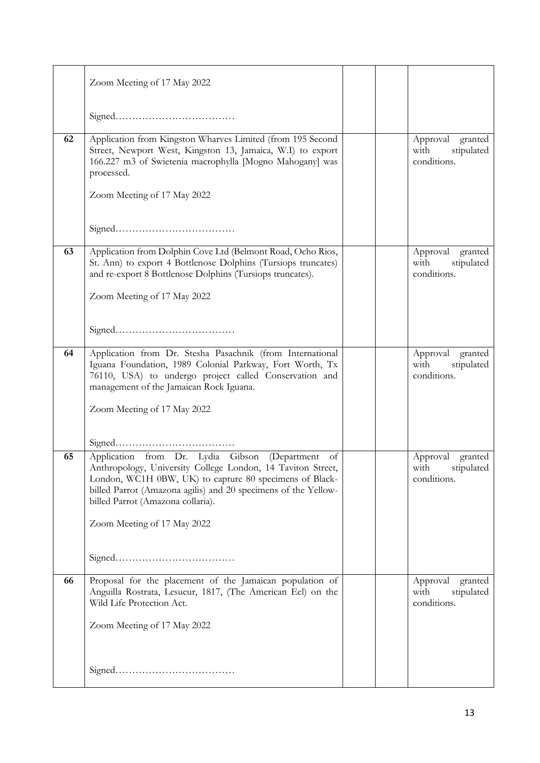|    | Zoom Meeting of 17 May 2022                                                                                                                                                                                                                                                       |  |                                                          |
|----|-----------------------------------------------------------------------------------------------------------------------------------------------------------------------------------------------------------------------------------------------------------------------------------|--|----------------------------------------------------------|
|    |                                                                                                                                                                                                                                                                                   |  |                                                          |
| 62 | Application from Kingston Wharves Limited (from 195 Second<br>Street, Newport West, Kingston 13, Jamaica, W.I) to export<br>166.227 m3 of Swietenia macrophylla [Mogno Mahogany] was<br>processed.                                                                                |  | Approval granted<br>stipulated<br>with<br>conditions.    |
|    | Zoom Meeting of 17 May 2022                                                                                                                                                                                                                                                       |  |                                                          |
| 63 | Application from Dolphin Cove Ltd (Belmont Road, Ocho Rios,                                                                                                                                                                                                                       |  | Approval<br>granted                                      |
|    | St. Ann) to export 4 Bottlenose Dolphins (Tursiops truncates)<br>and re-export 8 Bottlenose Dolphins (Tursiops truncates).                                                                                                                                                        |  | with<br>stipulated<br>conditions.                        |
|    | Zoom Meeting of 17 May 2022                                                                                                                                                                                                                                                       |  |                                                          |
|    |                                                                                                                                                                                                                                                                                   |  |                                                          |
| 64 | Application from Dr. Stesha Pasachnik (from International<br>Iguana Foundation, 1989 Colonial Parkway, Fort Worth, Tx<br>76110, USA) to undergo project called Conservation and<br>management of the Jamaican Rock Iguana.                                                        |  | Approval granted<br>stipulated<br>with<br>conditions.    |
|    | Zoom Meeting of 17 May 2022                                                                                                                                                                                                                                                       |  |                                                          |
|    |                                                                                                                                                                                                                                                                                   |  |                                                          |
| 65 | Application from Dr. Lydia Gibson (Department of<br>Anthropology, University College London, 14 Taviton Street,<br>London, WC1H 0BW, UK) to capture 80 specimens of Black-<br>billed Parrot (Amazona agilis) and 20 specimens of the Yellow-<br>billed Parrot (Amazona collaria). |  | Approval granted<br>with<br>stipulated<br>conditions.    |
|    | Zoom Meeting of 17 May 2022                                                                                                                                                                                                                                                       |  |                                                          |
|    |                                                                                                                                                                                                                                                                                   |  |                                                          |
| 66 | Proposal for the placement of the Jamaican population of<br>Anguilla Rostrata, Lesueur, 1817, (The American Eel) on the<br>Wild Life Protection Act.                                                                                                                              |  | Approval<br>granted<br>stipulated<br>with<br>conditions. |
|    | Zoom Meeting of 17 May 2022                                                                                                                                                                                                                                                       |  |                                                          |
|    |                                                                                                                                                                                                                                                                                   |  |                                                          |
|    |                                                                                                                                                                                                                                                                                   |  |                                                          |